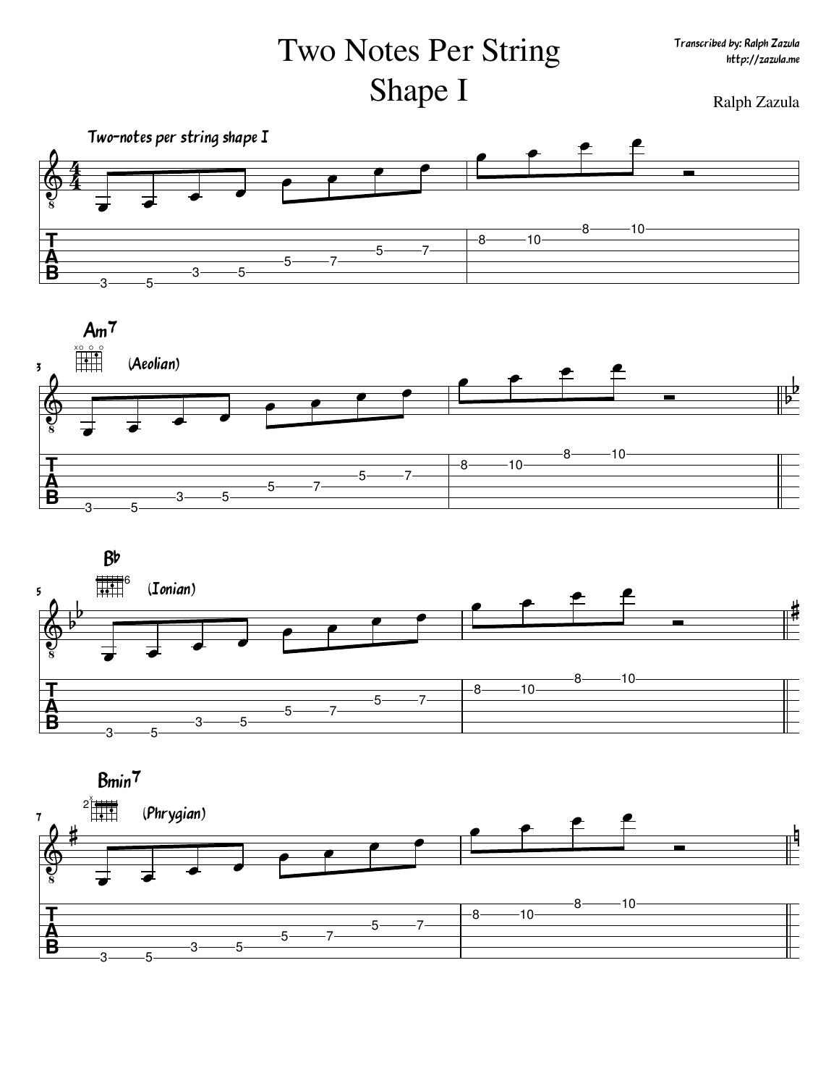## Two Notes Per String Shape I Ralph Zazula







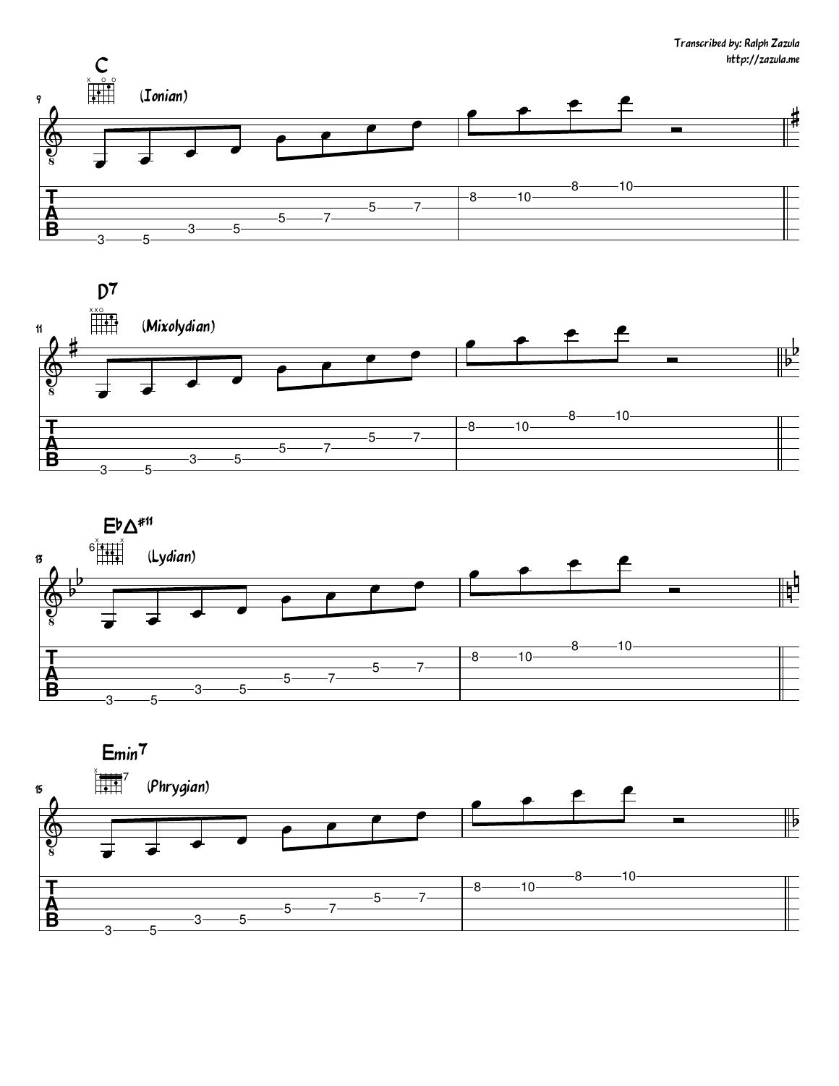